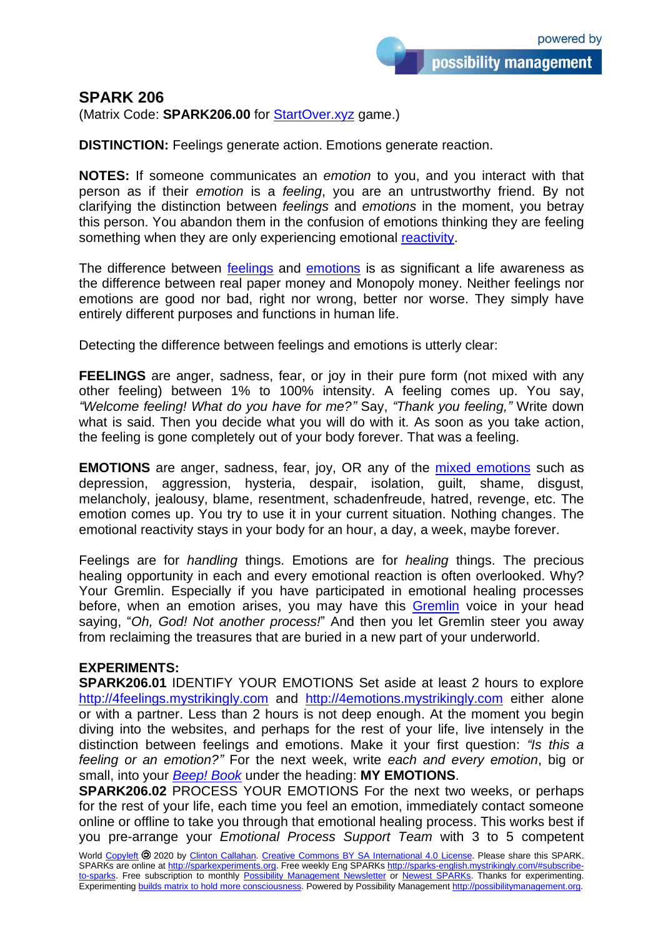## **SPARK 206**

(Matrix Code: **SPARK206.00** for [StartOver.xyz](http://startoverxyz.mystrikingly.com/) game.)

**DISTINCTION:** Feelings generate action. Emotions generate reaction.

**NOTES:** If someone communicates an *emotion* to you, and you interact with that person as if their *emotion* is a *feeling*, you are an untrustworthy friend. By not clarifying the distinction between *feelings* and *emotions* in the moment, you betray this person. You abandon them in the confusion of emotions thinking they are feeling something when they are only experiencing emotional [reactivity.](http://reactivity.mystrikingly.com/)

The difference between [feelings](http://4feelings.mystrikingly.com/) and [emotions](http://4emotions.mystrikingly.com/) is as significant a life awareness as the difference between real paper money and Monopoly money. Neither feelings nor emotions are good nor bad, right nor wrong, better nor worse. They simply have entirely different purposes and functions in human life.

Detecting the difference between feelings and emotions is utterly clear:

**FEELINGS** are anger, sadness, fear, or joy in their pure form (not mixed with any other feeling) between 1% to 100% intensity. A feeling comes up. You say, *"Welcome feeling! What do you have for me?"* Say, *"Thank you feeling,"* Write down what is said. Then you decide what you will do with it. As soon as you take action, the feeling is gone completely out of your body forever. That was a feeling.

**EMOTIONS** are anger, sadness, fear, joy, OR any of the *mixed* emotions such as depression, aggression, hysteria, despair, isolation, guilt, shame, disgust, melancholy, jealousy, blame, resentment, schadenfreude, hatred, revenge, etc. The emotion comes up. You try to use it in your current situation. Nothing changes. The emotional reactivity stays in your body for an hour, a day, a week, maybe forever.

Feelings are for *handling* things. Emotions are for *healing* things. The precious healing opportunity in each and every emotional reaction is often overlooked. Why? Your Gremlin. Especially if you have participated in emotional healing processes before, when an emotion arises, you may have this [Gremlin](http://yourgremlin.mystrikingly.com/) voice in your head saying, "*Oh, God! Not another process!*" And then you let Gremlin steer you away from reclaiming the treasures that are buried in a new part of your underworld.

## **EXPERIMENTS:**

**SPARK206.01** IDENTIFY YOUR EMOTIONS Set aside at least 2 hours to explore [http://4feelings.mystrikingly.com](http://4feelings.mystrikingly.com/) and [http://4emotions.mystrikingly.com](http://4emotions.mystrikingly.com/) either alone or with a partner. Less than 2 hours is not deep enough. At the moment you begin diving into the websites, and perhaps for the rest of your life, live intensely in the distinction between feelings and emotions. Make it your first question: *"Is this a feeling or an emotion?"* For the next week, write *each and every emotion*, big or small, into your *[Beep! Book](http://beepbook.mystrikingly.com/)* under the heading: **MY EMOTIONS**.

**SPARK206.02** PROCESS YOUR EMOTIONS For the next two weeks, or perhaps for the rest of your life, each time you feel an emotion, immediately contact someone online or offline to take you through that emotional healing process. This works best if you pre-arrange your *Emotional Process Support Team* with 3 to 5 competent